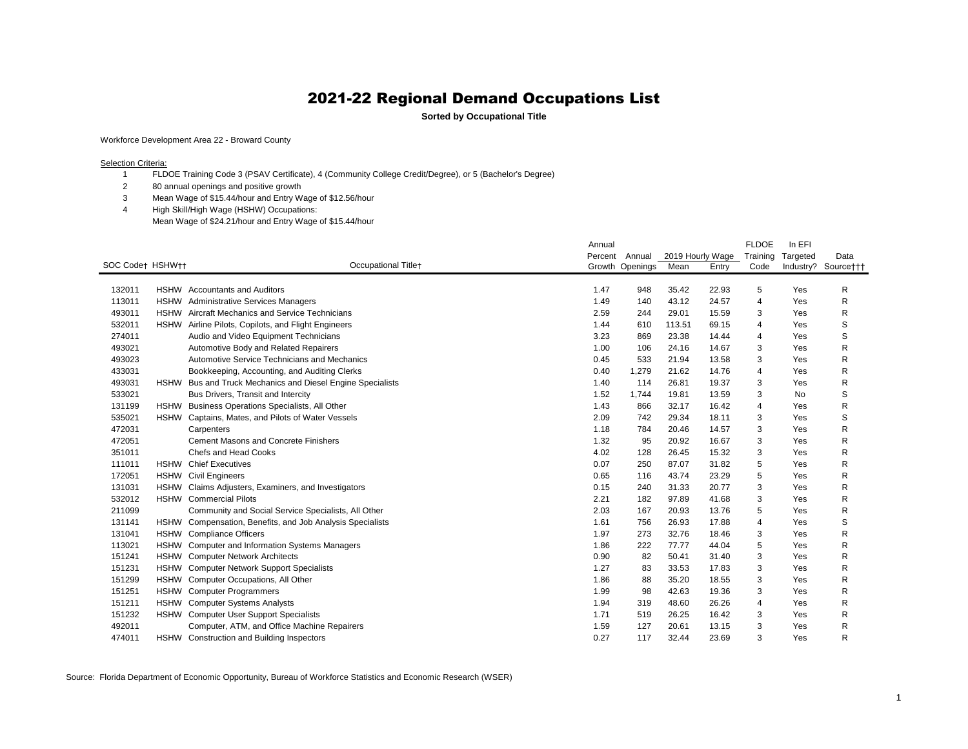**Sorted by Occupational Title**

### Workforce Development Area 22 - Broward County

Selection Criteria:

- FLDOE Training Code 3 (PSAV Certificate), 4 (Community College Credit/Degree), or 5 (Bachelor's Degree)
- 80 annual openings and positive growth
- Mean Wage of \$15.44/hour and Entry Wage of \$12.56/hour
- High Skill/High Wage (HSHW) Occupations:
	- Mean Wage of \$24.21/hour and Entry Wage of \$15.44/hour

|                  |             |                                                           | Annual  |                 |                  |       | <b>FLDOE</b>   | In EFI   |                     |
|------------------|-------------|-----------------------------------------------------------|---------|-----------------|------------------|-------|----------------|----------|---------------------|
|                  |             |                                                           | Percent | Annual          | 2019 Hourly Wage |       | Training       | Targeted | Data                |
| SOC Code† HSHW†† |             | Occupational Title+                                       |         | Growth Openings | Mean             | Entry | Code           |          | Industry? Source††† |
|                  |             |                                                           |         |                 |                  |       |                |          |                     |
| 132011           |             | HSHW Accountants and Auditors                             | 1.47    | 948             | 35.42            | 22.93 | 5              | Yes      | R                   |
| 113011           |             | HSHW Administrative Services Managers                     | 1.49    | 140             | 43.12            | 24.57 | 4              | Yes      | ${\sf R}$           |
| 493011           |             | HSHW Aircraft Mechanics and Service Technicians           | 2.59    | 244             | 29.01            | 15.59 | 3              | Yes      | ${\sf R}$           |
| 532011           |             | HSHW Airline Pilots, Copilots, and Flight Engineers       | 1.44    | 610             | 113.51           | 69.15 | $\overline{4}$ | Yes      | $\mathbb S$         |
| 274011           |             | Audio and Video Equipment Technicians                     | 3.23    | 869             | 23.38            | 14.44 | $\overline{4}$ | Yes      | S                   |
| 493021           |             | Automotive Body and Related Repairers                     | 1.00    | 106             | 24.16            | 14.67 | 3              | Yes      | R                   |
| 493023           |             | Automotive Service Technicians and Mechanics              | 0.45    | 533             | 21.94            | 13.58 | 3              | Yes      | R                   |
| 433031           |             | Bookkeeping, Accounting, and Auditing Clerks              | 0.40    | 1,279           | 21.62            | 14.76 | 4              | Yes      | R                   |
| 493031           | <b>HSHW</b> | Bus and Truck Mechanics and Diesel Engine Specialists     | 1.40    | 114             | 26.81            | 19.37 | 3              | Yes      | ${\sf R}$           |
| 533021           |             | Bus Drivers, Transit and Intercity                        | 1.52    | 1,744           | 19.81            | 13.59 | 3              | No       | $\mathbb S$         |
| 131199           | <b>HSHW</b> | Business Operations Specialists, All Other                | 1.43    | 866             | 32.17            | 16.42 | $\overline{4}$ | Yes      | R                   |
| 535021           |             | HSHW Captains, Mates, and Pilots of Water Vessels         | 2.09    | 742             | 29.34            | 18.11 | 3              | Yes      | S                   |
| 472031           |             | Carpenters                                                | 1.18    | 784             | 20.46            | 14.57 | 3              | Yes      | R                   |
| 472051           |             | <b>Cement Masons and Concrete Finishers</b>               | 1.32    | 95              | 20.92            | 16.67 | 3              | Yes      | R                   |
| 351011           |             | <b>Chefs and Head Cooks</b>                               | 4.02    | 128             | 26.45            | 15.32 | 3              | Yes      | R                   |
| 111011           |             | <b>HSHW</b> Chief Executives                              | 0.07    | 250             | 87.07            | 31.82 | 5              | Yes      | ${\sf R}$           |
| 172051           |             | <b>HSHW</b> Civil Engineers                               | 0.65    | 116             | 43.74            | 23.29 | 5              | Yes      | ${\sf R}$           |
| 131031           |             | HSHW Claims Adjusters, Examiners, and Investigators       | 0.15    | 240             | 31.33            | 20.77 | 3              | Yes      | ${\sf R}$           |
| 532012           |             | <b>HSHW</b> Commercial Pilots                             | 2.21    | 182             | 97.89            | 41.68 | 3              | Yes      | R                   |
| 211099           |             | Community and Social Service Specialists, All Other       | 2.03    | 167             | 20.93            | 13.76 | 5              | Yes      | R                   |
| 131141           |             | HSHW Compensation, Benefits, and Job Analysis Specialists | 1.61    | 756             | 26.93            | 17.88 | 4              | Yes      | S                   |
| 131041           |             | HSHW Compliance Officers                                  | 1.97    | 273             | 32.76            | 18.46 | 3              | Yes      | R                   |
| 113021           |             | HSHW Computer and Information Systems Managers            | 1.86    | 222             | 77.77            | 44.04 | 5              | Yes      | ${\sf R}$           |
| 151241           |             | HSHW Computer Network Architects                          | 0.90    | 82              | 50.41            | 31.40 | 3              | Yes      | ${\sf R}$           |
| 151231           |             | HSHW Computer Network Support Specialists                 | 1.27    | 83              | 33.53            | 17.83 | 3              | Yes      | $\mathsf R$         |
| 151299           |             | HSHW Computer Occupations, All Other                      | 1.86    | 88              | 35.20            | 18.55 | 3              | Yes      | R                   |
| 151251           |             | HSHW Computer Programmers                                 | 1.99    | 98              | 42.63            | 19.36 | 3              | Yes      | R                   |
| 151211           |             | HSHW Computer Systems Analysts                            | 1.94    | 319             | 48.60            | 26.26 | 4              | Yes      | R                   |
| 151232           |             | HSHW Computer User Support Specialists                    | 1.71    | 519             | 26.25            | 16.42 | 3              | Yes      | R                   |
| 492011           |             | Computer, ATM, and Office Machine Repairers               | 1.59    | 127             | 20.61            | 13.15 | 3              | Yes      | ${\sf R}$           |
| 474011           |             | HSHW Construction and Building Inspectors                 | 0.27    | 117             | 32.44            | 23.69 | 3              | Yes      | ${\sf R}$           |

Source: Florida Department of Economic Opportunity, Bureau of Workforce Statistics and Economic Research (WSER)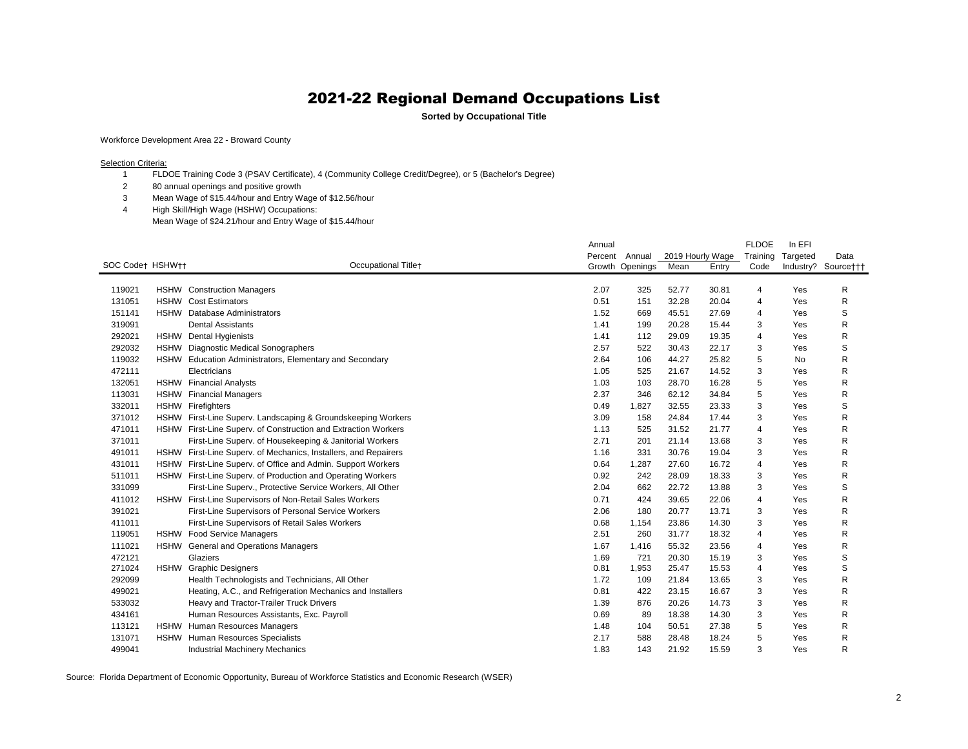**Sorted by Occupational Title**

### Workforce Development Area 22 - Broward County

### Selection Criteria:

- FLDOE Training Code 3 (PSAV Certificate), 4 (Community College Credit/Degree), or 5 (Bachelor's Degree)
- 80 annual openings and positive growth
- Mean Wage of \$15.44/hour and Entry Wage of \$12.56/hour
- High Skill/High Wage (HSHW) Occupations:
	- Mean Wage of \$24.21/hour and Entry Wage of \$15.44/hour

|                  |             |                                                                 | Annual  |                 |                  |       | <b>FLDOE</b>   | In EFI    |                     |
|------------------|-------------|-----------------------------------------------------------------|---------|-----------------|------------------|-------|----------------|-----------|---------------------|
|                  |             |                                                                 | Percent | Annual          | 2019 Hourly Wage |       | Training       | Targeted  | Data                |
| SOC Code† HSHW†† |             | Occupational Titlet                                             |         | Growth Openings | Mean             | Entry | Code           |           | Industry? Sourcettt |
|                  |             |                                                                 |         |                 |                  |       |                |           |                     |
| 119021           |             | <b>HSHW</b> Construction Managers                               | 2.07    | 325             | 52.77            | 30.81 | 4              | Yes       | R                   |
| 131051           |             | <b>HSHW</b> Cost Estimators                                     | 0.51    | 151             | 32.28            | 20.04 | 4              | Yes       | ${\sf R}$           |
| 151141           |             | <b>HSHW</b> Database Administrators                             | 1.52    | 669             | 45.51            | 27.69 | 4              | Yes       | $\mathbb S$         |
| 319091           |             | <b>Dental Assistants</b>                                        | 1.41    | 199             | 20.28            | 15.44 | 3              | Yes       | R                   |
| 292021           |             | HSHW Dental Hygienists                                          | 1.41    | 112             | 29.09            | 19.35 | 4              | Yes       | R                   |
| 292032           | <b>HSHW</b> | <b>Diagnostic Medical Sonographers</b>                          | 2.57    | 522             | 30.43            | 22.17 | 3              | Yes       | S                   |
| 119032           |             | HSHW Education Administrators, Elementary and Secondary         | 2.64    | 106             | 44.27            | 25.82 | 5              | <b>No</b> | R                   |
| 472111           |             | Electricians                                                    | 1.05    | 525             | 21.67            | 14.52 | 3              | Yes       | R                   |
| 132051           |             | HSHW Financial Analysts                                         | 1.03    | 103             | 28.70            | 16.28 | $\mathbf 5$    | Yes       | R                   |
| 113031           | HSHW        | <b>Financial Managers</b>                                       | 2.37    | 346             | 62.12            | 34.84 | 5              | Yes       | R                   |
| 332011           |             | HSHW Firefighters                                               | 0.49    | 1,827           | 32.55            | 23.33 | 3              | Yes       | $\mathbb S$         |
| 371012           |             | HSHW First-Line Superv. Landscaping & Groundskeeping Workers    | 3.09    | 158             | 24.84            | 17.44 | 3              | Yes       | R                   |
| 471011           |             | HSHW First-Line Superv. of Construction and Extraction Workers  | 1.13    | 525             | 31.52            | 21.77 | 4              | Yes       | R                   |
| 371011           |             | First-Line Superv. of Housekeeping & Janitorial Workers         | 2.71    | 201             | 21.14            | 13.68 | 3              | Yes       | R                   |
| 491011           |             | HSHW First-Line Superv. of Mechanics, Installers, and Repairers | 1.16    | 331             | 30.76            | 19.04 | 3              | Yes       | R                   |
| 431011           | <b>HSHW</b> | First-Line Superv. of Office and Admin. Support Workers         | 0.64    | 1,287           | 27.60            | 16.72 | $\overline{4}$ | Yes       | R                   |
| 511011           |             | HSHW First-Line Superv. of Production and Operating Workers     | 0.92    | 242             | 28.09            | 18.33 | 3              | Yes       | ${\sf R}$           |
| 331099           |             | First-Line Superv., Protective Service Workers, All Other       | 2.04    | 662             | 22.72            | 13.88 | 3              | Yes       | S                   |
| 411012           |             | HSHW First-Line Supervisors of Non-Retail Sales Workers         | 0.71    | 424             | 39.65            | 22.06 | 4              | Yes       | R                   |
| 391021           |             | First-Line Supervisors of Personal Service Workers              | 2.06    | 180             | 20.77            | 13.71 | 3              | Yes       | R                   |
| 411011           |             | First-Line Supervisors of Retail Sales Workers                  | 0.68    | 1,154           | 23.86            | 14.30 | 3              | Yes       | ${\sf R}$           |
| 119051           |             | HSHW Food Service Managers                                      | 2.51    | 260             | 31.77            | 18.32 | 4              | Yes       | R                   |
| 111021           |             | HSHW General and Operations Managers                            | 1.67    | 1,416           | 55.32            | 23.56 | 4              | Yes       | R                   |
| 472121           |             | Glaziers                                                        | 1.69    | 721             | 20.30            | 15.19 | 3              | Yes       | $\mathbb S$         |
| 271024           |             | HSHW Graphic Designers                                          | 0.81    | 1,953           | 25.47            | 15.53 | 4              | Yes       | $\mathbb S$         |
| 292099           |             | Health Technologists and Technicians, All Other                 | 1.72    | 109             | 21.84            | 13.65 | 3              | Yes       | ${\sf R}$           |
| 499021           |             | Heating, A.C., and Refrigeration Mechanics and Installers       | 0.81    | 422             | 23.15            | 16.67 | 3              | Yes       | ${\sf R}$           |
| 533032           |             | Heavy and Tractor-Trailer Truck Drivers                         | 1.39    | 876             | 20.26            | 14.73 | 3              | Yes       | R                   |
| 434161           |             | Human Resources Assistants, Exc. Payroll                        | 0.69    | 89              | 18.38            | 14.30 | 3              | Yes       | R                   |
| 113121           |             | HSHW Human Resources Managers                                   | 1.48    | 104             | 50.51            | 27.38 | 5              | Yes       | ${\sf R}$           |
| 131071           |             | HSHW Human Resources Specialists                                | 2.17    | 588             | 28.48            | 18.24 | 5              | Yes       | R                   |
| 499041           |             | <b>Industrial Machinery Mechanics</b>                           | 1.83    | 143             | 21.92            | 15.59 | 3              | Yes       | R                   |

Source: Florida Department of Economic Opportunity, Bureau of Workforce Statistics and Economic Research (WSER)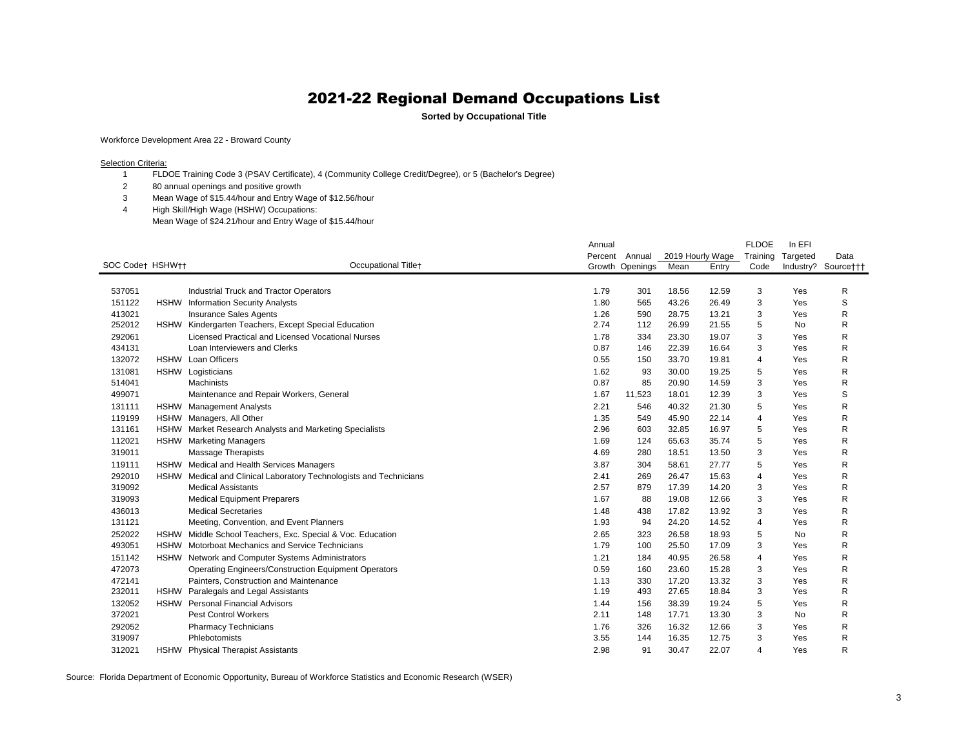**Sorted by Occupational Title**

Workforce Development Area 22 - Broward County

Selection Criteria:

- FLDOE Training Code 3 (PSAV Certificate), 4 (Community College Credit/Degree), or 5 (Bachelor's Degree)
- 80 annual openings and positive growth
- Mean Wage of \$15.44/hour and Entry Wage of \$12.56/hour
- High Skill/High Wage (HSHW) Occupations:
	- Mean Wage of \$24.21/hour and Entry Wage of \$15.44/hour

|                  |             |                                                               | Annual  |                 |                  |       | <b>FLDOE</b> | In EFI   |                     |
|------------------|-------------|---------------------------------------------------------------|---------|-----------------|------------------|-------|--------------|----------|---------------------|
|                  |             |                                                               | Percent | Annual          | 2019 Hourly Wage |       | Training     | Targeted | Data                |
| SOC Code† HSHW†† |             | Occupational Titlet                                           |         | Growth Openings | Mean             | Entry | Code         |          | Industry? Source††† |
|                  |             |                                                               |         |                 |                  |       |              |          |                     |
| 537051           |             | <b>Industrial Truck and Tractor Operators</b>                 | 1.79    | 301             | 18.56            | 12.59 | 3            | Yes      | R                   |
| 151122           | <b>HSHW</b> | <b>Information Security Analysts</b>                          | 1.80    | 565             | 43.26            | 26.49 | 3            | Yes      | S                   |
| 413021           |             | <b>Insurance Sales Agents</b>                                 | 1.26    | 590             | 28.75            | 13.21 | 3            | Yes      | R                   |
| 252012           |             | HSHW Kindergarten Teachers, Except Special Education          | 2.74    | 112             | 26.99            | 21.55 | 5            | No       | R                   |
| 292061           |             | Licensed Practical and Licensed Vocational Nurses             | 1.78    | 334             | 23.30            | 19.07 | 3            | Yes      | R                   |
| 434131           |             | Loan Interviewers and Clerks                                  | 0.87    | 146             | 22.39            | 16.64 | 3            | Yes      | R                   |
| 132072           |             | HSHW Loan Officers                                            | 0.55    | 150             | 33.70            | 19.81 | 4            | Yes      | R                   |
| 131081           |             | HSHW Logisticians                                             | 1.62    | 93              | 30.00            | 19.25 | 5            | Yes      | R                   |
| 514041           |             | Machinists                                                    | 0.87    | 85              | 20.90            | 14.59 | 3            | Yes      | R                   |
| 499071           |             | Maintenance and Repair Workers, General                       | 1.67    | 11,523          | 18.01            | 12.39 | 3            | Yes      | ${\mathbb S}$       |
| 131111           | <b>HSHW</b> | <b>Management Analysts</b>                                    | 2.21    | 546             | 40.32            | 21.30 | 5            | Yes      | R                   |
| 119199           | <b>HSHW</b> | Managers, All Other                                           | 1.35    | 549             | 45.90            | 22.14 | 4            | Yes      | R                   |
| 131161           |             | HSHW Market Research Analysts and Marketing Specialists       | 2.96    | 603             | 32.85            | 16.97 | 5            | Yes      | $\mathsf R$         |
| 112021           | <b>HSHW</b> | <b>Marketing Managers</b>                                     | 1.69    | 124             | 65.63            | 35.74 | 5            | Yes      | R                   |
| 319011           |             | Massage Therapists                                            | 4.69    | 280             | 18.51            | 13.50 | 3            | Yes      | R                   |
| 119111           |             | HSHW Medical and Health Services Managers                     | 3.87    | 304             | 58.61            | 27.77 | 5            | Yes      | R                   |
| 292010           | <b>HSHW</b> | Medical and Clinical Laboratory Technologists and Technicians | 2.41    | 269             | 26.47            | 15.63 | 4            | Yes      | R                   |
| 319092           |             | <b>Medical Assistants</b>                                     | 2.57    | 879             | 17.39            | 14.20 | 3            | Yes      | R                   |
| 319093           |             | <b>Medical Equipment Preparers</b>                            | 1.67    | 88              | 19.08            | 12.66 | 3            | Yes      | R                   |
| 436013           |             | <b>Medical Secretaries</b>                                    | 1.48    | 438             | 17.82            | 13.92 | 3            | Yes      | R                   |
| 131121           |             | Meeting, Convention, and Event Planners                       | 1.93    | 94              | 24.20            | 14.52 | 4            | Yes      | R                   |
| 252022           |             | HSHW Middle School Teachers, Exc. Special & Voc. Education    | 2.65    | 323             | 26.58            | 18.93 | 5            | No       | $\mathsf R$         |
| 493051           |             | HSHW Motorboat Mechanics and Service Technicians              | 1.79    | 100             | 25.50            | 17.09 | 3            | Yes      | R                   |
| 151142           |             | HSHW Network and Computer Systems Administrators              | 1.21    | 184             | 40.95            | 26.58 | 4            | Yes      | R                   |
| 472073           |             | <b>Operating Engineers/Construction Equipment Operators</b>   | 0.59    | 160             | 23.60            | 15.28 | 3            | Yes      | R                   |
| 472141           |             | Painters, Construction and Maintenance                        | 1.13    | 330             | 17.20            | 13.32 | 3            | Yes      | R                   |
| 232011           | <b>HSHW</b> | Paralegals and Legal Assistants                               | 1.19    | 493             | 27.65            | 18.84 | 3            | Yes      | $\mathsf{R}$        |
| 132052           | <b>HSHW</b> | <b>Personal Financial Advisors</b>                            | 1.44    | 156             | 38.39            | 19.24 | 5            | Yes      | R                   |
| 372021           |             | <b>Pest Control Workers</b>                                   | 2.11    | 148             | 17.71            | 13.30 | 3            | No       | R                   |
| 292052           |             | <b>Pharmacy Technicians</b>                                   | 1.76    | 326             | 16.32            | 12.66 | 3            | Yes      | R                   |
| 319097           |             | Phlebotomists                                                 | 3.55    | 144             | 16.35            | 12.75 | 3            | Yes      | R                   |
| 312021           | <b>HSHW</b> | <b>Physical Therapist Assistants</b>                          | 2.98    | 91              | 30.47            | 22.07 | 4            | Yes      | R                   |

Source: Florida Department of Economic Opportunity, Bureau of Workforce Statistics and Economic Research (WSER)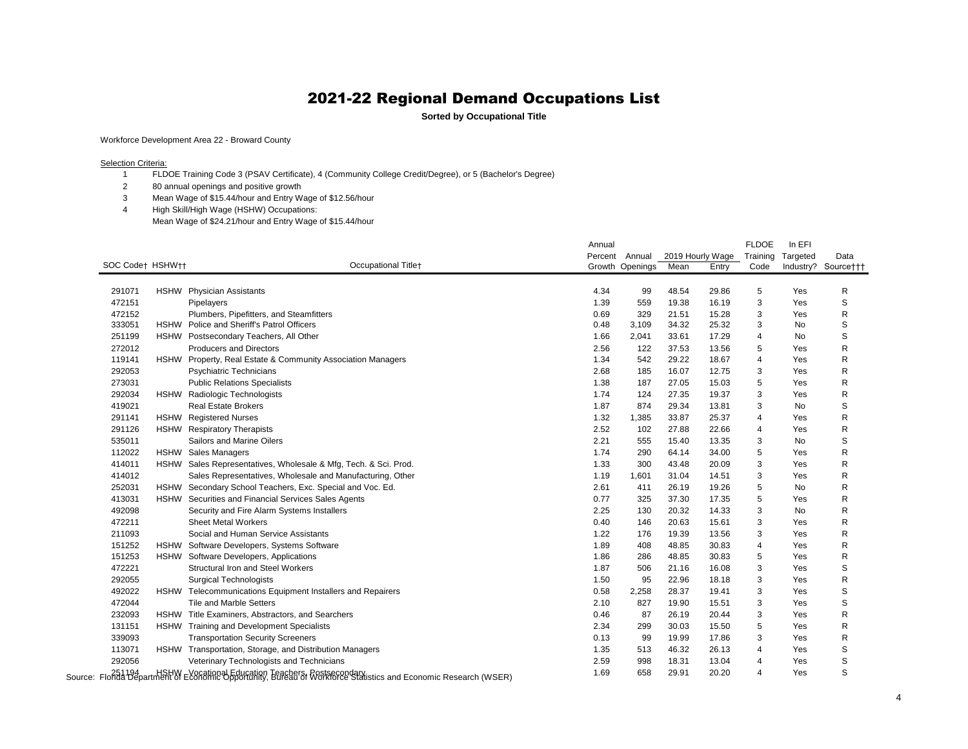**Sorted by Occupational Title**

### Workforce Development Area 22 - Broward County

**Selection Criteria:** 

- FLDOE Training Code 3 (PSAV Certificate), 4 (Community College Credit/Degree), or 5 (Bachelor's Degree)
- 80 annual openings and positive growth
- Mean Wage of \$15.44/hour and Entry Wage of \$12.56/hour
- High Skill/High Wage (HSHW) Occupations:
	- Mean Wage of \$24.21/hour and Entry Wage of \$15.44/hour

|                  |                                                                                                                 | Annual  |                 |       |                  | <b>FLDOE</b>              | In EFI   |                     |
|------------------|-----------------------------------------------------------------------------------------------------------------|---------|-----------------|-------|------------------|---------------------------|----------|---------------------|
|                  |                                                                                                                 | Percent | Annual          |       | 2019 Hourly Wage | Training                  | Targeted | Data                |
| SOC Code† HSHW†† | Occupational Titlet                                                                                             |         | Growth Openings | Mean  | Entry            | Code                      |          | Industry? Source††† |
| 291071           | HSHW Physician Assistants                                                                                       | 4.34    | 99              | 48.54 | 29.86            | 5                         | Yes      | R                   |
| 472151           | Pipelayers                                                                                                      | 1.39    | 559             | 19.38 | 16.19            | 3                         | Yes      | S                   |
| 472152           | Plumbers, Pipefitters, and Steamfitters                                                                         | 0.69    | 329             | 21.51 | 15.28            | $\ensuremath{\mathsf{3}}$ | Yes      | R                   |
| 333051           | HSHW Police and Sheriff's Patrol Officers                                                                       | 0.48    | 3,109           | 34.32 | 25.32            | 3                         | No       | S                   |
| 251199           | HSHW Postsecondary Teachers, All Other                                                                          | 1.66    | 2,041           | 33.61 | 17.29            | 4                         | No       | S                   |
| 272012           | <b>Producers and Directors</b>                                                                                  | 2.56    | 122             | 37.53 | 13.56            | 5                         | Yes      | R                   |
| 119141           | HSHW Property, Real Estate & Community Association Managers                                                     | 1.34    | 542             | 29.22 | 18.67            | 4                         | Yes      | R                   |
| 292053           | <b>Psychiatric Technicians</b>                                                                                  | 2.68    | 185             | 16.07 | 12.75            | 3                         | Yes      | R                   |
| 273031           | <b>Public Relations Specialists</b>                                                                             | 1.38    | 187             | 27.05 | 15.03            | 5                         | Yes      | R                   |
| 292034           | HSHW Radiologic Technologists                                                                                   | 1.74    | 124             | 27.35 | 19.37            | 3                         | Yes      | R                   |
| 419021           | <b>Real Estate Brokers</b>                                                                                      | 1.87    | 874             | 29.34 | 13.81            | 3                         | No       | S                   |
| 291141           | HSHW Registered Nurses                                                                                          | 1.32    | 1,385           | 33.87 | 25.37            | $\overline{4}$            | Yes      | R                   |
| 291126           | <b>HSHW</b> Respiratory Therapists                                                                              | 2.52    | 102             | 27.88 | 22.66            | 4                         | Yes      | R                   |
| 535011           | Sailors and Marine Oilers                                                                                       | 2.21    | 555             | 15.40 | 13.35            | 3                         | No       | S                   |
| 112022           | HSHW Sales Managers                                                                                             | 1.74    | 290             | 64.14 | 34.00            | 5                         | Yes      | R                   |
| 414011           | HSHW Sales Representatives, Wholesale & Mfg, Tech. & Sci. Prod.                                                 | 1.33    | 300             | 43.48 | 20.09            | 3                         | Yes      | ${\sf R}$           |
| 414012           | Sales Representatives, Wholesale and Manufacturing, Other                                                       | 1.19    | 1,601           | 31.04 | 14.51            | 3                         | Yes      | ${\sf R}$           |
| 252031           | HSHW Secondary School Teachers, Exc. Special and Voc. Ed.                                                       | 2.61    | 411             | 26.19 | 19.26            | 5                         | No       | ${\sf R}$           |
| 413031           | HSHW Securities and Financial Services Sales Agents                                                             | 0.77    | 325             | 37.30 | 17.35            | 5                         | Yes      | R                   |
| 492098           | Security and Fire Alarm Systems Installers                                                                      | 2.25    | 130             | 20.32 | 14.33            | 3                         | No       | R                   |
| 472211           | <b>Sheet Metal Workers</b>                                                                                      | 0.40    | 146             | 20.63 | 15.61            | 3                         | Yes      | R                   |
| 211093           | Social and Human Service Assistants                                                                             | 1.22    | 176             | 19.39 | 13.56            | 3                         | Yes      | R                   |
| 151252           | HSHW Software Developers, Systems Software                                                                      | 1.89    | 408             | 48.85 | 30.83            | $\overline{4}$            | Yes      | R                   |
| 151253           | HSHW Software Developers, Applications                                                                          | 1.86    | 286             | 48.85 | 30.83            | 5                         | Yes      | R                   |
| 472221           | <b>Structural Iron and Steel Workers</b>                                                                        | 1.87    | 506             | 21.16 | 16.08            | 3                         | Yes      | S                   |
| 292055           | <b>Surgical Technologists</b>                                                                                   | 1.50    | 95              | 22.96 | 18.18            | 3                         | Yes      | R                   |
| 492022           | HSHW Telecommunications Equipment Installers and Repairers                                                      | 0.58    | 2,258           | 28.37 | 19.41            | 3                         | Yes      | S                   |
| 472044           | <b>Tile and Marble Setters</b>                                                                                  | 2.10    | 827             | 19.90 | 15.51            | 3                         | Yes      | S                   |
| 232093           | HSHW Title Examiners, Abstractors, and Searchers                                                                | 0.46    | 87              | 26.19 | 20.44            | 3                         | Yes      | R                   |
| 131151           | HSHW Training and Development Specialists                                                                       | 2.34    | 299             | 30.03 | 15.50            | 5                         | Yes      | R                   |
| 339093           | <b>Transportation Security Screeners</b>                                                                        | 0.13    | 99              | 19.99 | 17.86            | 3                         | Yes      | R                   |
| 113071           | HSHW Transportation, Storage, and Distribution Managers                                                         | 1.35    | 513             | 46.32 | 26.13            | 4                         | Yes      | S                   |
| 292056           | Veterinary Technologists and Technicians                                                                        | 2.59    | 998             | 18.31 | 13.04            | 4                         | Yes      | S                   |
|                  | Source: Florida Department of Economic Opportunity, Bureau of Workforce Statistics and Economic Research (WSER) | 1.69    | 658             | 29.91 | 20.20            | $\overline{4}$            | Yes      | S                   |